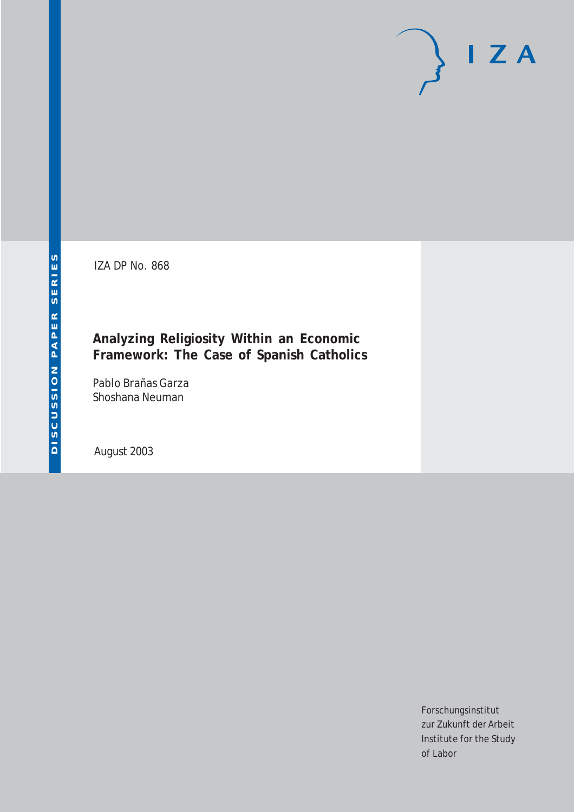IZA DP No. 868

## **Analyzing Religiosity Within an Economic Framework: The Case of Spanish Catholics**

Pablo Brañas Garza Shoshana Neuman

August 2003

Forschungsinstitut zur Zukunft der Arbeit Institute for the Study of Labor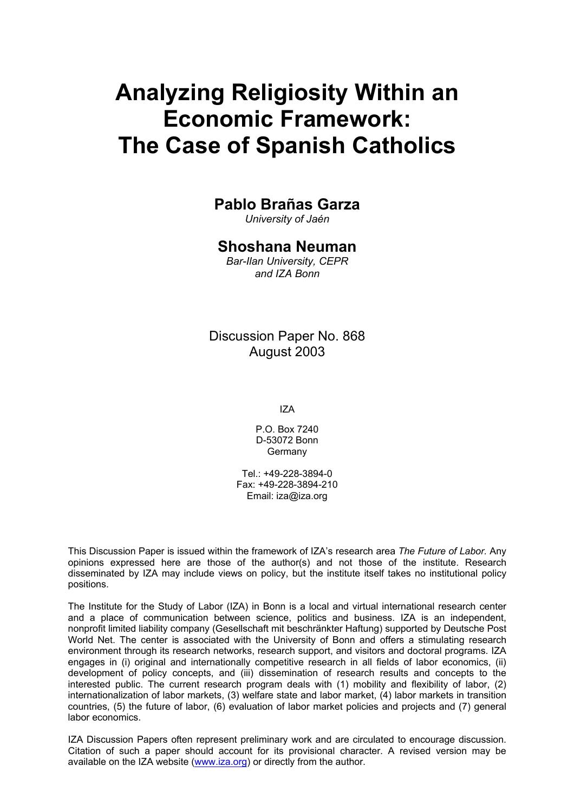# **Analyzing Religiosity Within an Economic Framework: The Case of Spanish Catholics**

### **Pablo Brañas Garza**

*University of Jaén* 

## **Shoshana Neuman**

*Bar-Ilan University, CEPR and IZA Bonn* 

Discussion Paper No. 868 August 2003

IZA

P.O. Box 7240 D-53072 Bonn Germany

Tel.: +49-228-3894-0 Fax: +49-228-3894-210 Email: [iza@iza.org](mailto:iza@iza.org)

This Discussion Paper is issued within the framework of IZA's research area *The Future of Labor.* Any opinions expressed here are those of the author(s) and not those of the institute. Research disseminated by IZA may include views on policy, but the institute itself takes no institutional policy positions.

The Institute for the Study of Labor (IZA) in Bonn is a local and virtual international research center and a place of communication between science, politics and business. IZA is an independent, nonprofit limited liability company (Gesellschaft mit beschränkter Haftung) supported by Deutsche Post World Net. The center is associated with the University of Bonn and offers a stimulating research environment through its research networks, research support, and visitors and doctoral programs. IZA engages in (i) original and internationally competitive research in all fields of labor economics, (ii) development of policy concepts, and (iii) dissemination of research results and concepts to the interested public. The current research program deals with (1) mobility and flexibility of labor, (2) internationalization of labor markets, (3) welfare state and labor market, (4) labor markets in transition countries, (5) the future of labor, (6) evaluation of labor market policies and projects and (7) general labor economics.

IZA Discussion Papers often represent preliminary work and are circulated to encourage discussion. Citation of such a paper should account for its provisional character. A revised version may be available on the IZA website ([www.iza.org](http://www.iza.org/)) or directly from the author.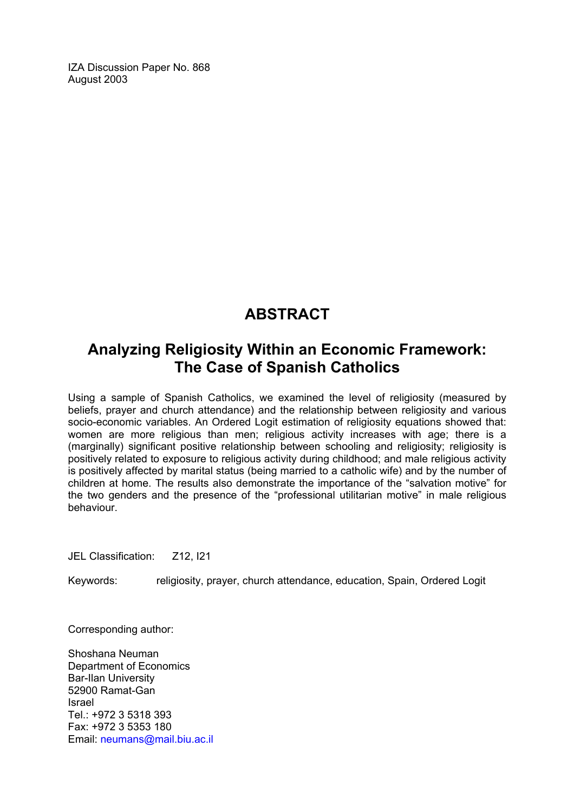IZA Discussion Paper No. 868 August 2003

# **ABSTRACT**

# **Analyzing Religiosity Within an Economic Framework: The Case of Spanish Catholics**

Using a sample of Spanish Catholics, we examined the level of religiosity (measured by beliefs, prayer and church attendance) and the relationship between religiosity and various socio-economic variables. An Ordered Logit estimation of religiosity equations showed that: women are more religious than men; religious activity increases with age; there is a (marginally) significant positive relationship between schooling and religiosity; religiosity is positively related to exposure to religious activity during childhood; and male religious activity is positively affected by marital status (being married to a catholic wife) and by the number of children at home. The results also demonstrate the importance of the "salvation motive" for the two genders and the presence of the "professional utilitarian motive" in male religious behaviour.

JEL Classification: Z12, I21

Keywords: religiosity, prayer, church attendance, education, Spain, Ordered Logit

Corresponding author:

Shoshana Neuman Department of Economics Bar-Ilan University 52900 Ramat-Gan Israel Tel.: +972 3 5318 393 Fax: +972 3 5353 180 Email: [neumans@mail.biu.ac.il](mailto:neumans@mail.biu.ac.il)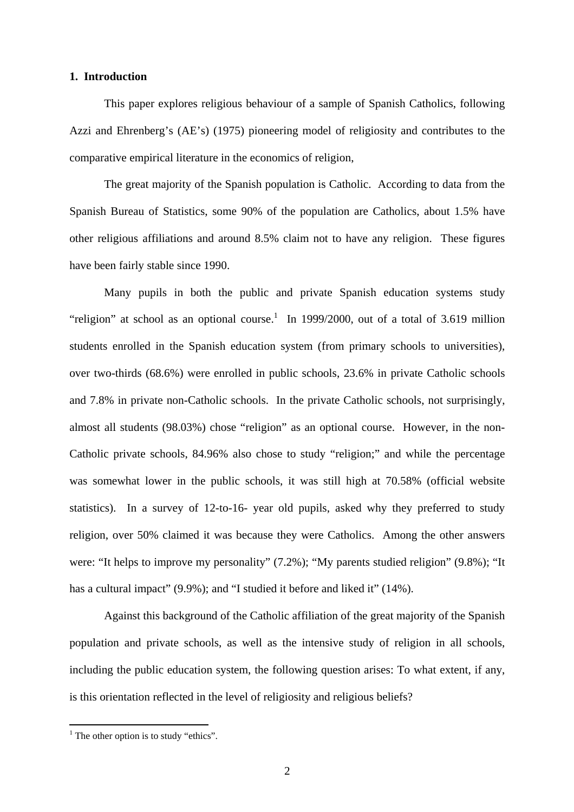#### **1. Introduction**

 This paper explores religious behaviour of a sample of Spanish Catholics, following Azzi and Ehrenberg's (AE's) (1975) pioneering model of religiosity and contributes to the comparative empirical literature in the economics of religion,

The great majority of the Spanish population is Catholic. According to data from the Spanish Bureau of Statistics, some 90% of the population are Catholics, about 1.5% have other religious affiliations and around 8.5% claim not to have any religion. These figures have been fairly stable since 1990.

 Many pupils in both the public and private Spanish education systems study "religion" at school as an optional course.<sup>1</sup> In 1999/2000, out of a total of 3.619 million students enrolled in the Spanish education system (from primary schools to universities), over two-thirds (68.6%) were enrolled in public schools, 23.6% in private Catholic schools and 7.8% in private non-Catholic schools. In the private Catholic schools, not surprisingly, almost all students (98.03%) chose "religion" as an optional course. However, in the non-Catholic private schools, 84.96% also chose to study "religion;" and while the percentage was somewhat lower in the public schools, it was still high at 70.58% (official website statistics). In a survey of 12-to-16- year old pupils, asked why they preferred to study religion, over 50% claimed it was because they were Catholics. Among the other answers were: "It helps to improve my personality" (7.2%); "My parents studied religion" (9.8%); "It has a cultural impact" (9.9%); and "I studied it before and liked it" (14%).

 Against this background of the Catholic affiliation of the great majority of the Spanish population and private schools, as well as the intensive study of religion in all schools, including the public education system, the following question arises: To what extent, if any, is this orientation reflected in the level of religiosity and religious beliefs?

<sup>&</sup>lt;sup>1</sup> The other option is to study "ethics".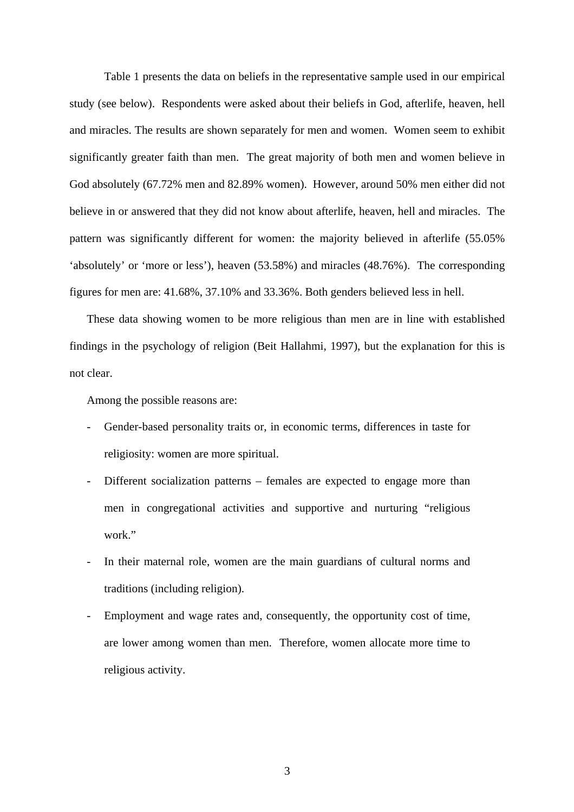Table 1 presents the data on beliefs in the representative sample used in our empirical study (see below). Respondents were asked about their beliefs in God, afterlife, heaven, hell and miracles. The results are shown separately for men and women. Women seem to exhibit significantly greater faith than men. The great majority of both men and women believe in God absolutely (67.72% men and 82.89% women). However, around 50% men either did not believe in or answered that they did not know about afterlife, heaven, hell and miracles. The pattern was significantly different for women: the majority believed in afterlife (55.05% 'absolutely' or 'more or less'), heaven (53.58%) and miracles (48.76%). The corresponding figures for men are: 41.68%, 37.10% and 33.36%. Both genders believed less in hell.

These data showing women to be more religious than men are in line with established findings in the psychology of religion (Beit Hallahmi, 1997), but the explanation for this is not clear.

Among the possible reasons are:

- Gender-based personality traits or, in economic terms, differences in taste for religiosity: women are more spiritual.
- Different socialization patterns females are expected to engage more than men in congregational activities and supportive and nurturing "religious work."
- In their maternal role, women are the main guardians of cultural norms and traditions (including religion).
- Employment and wage rates and, consequently, the opportunity cost of time, are lower among women than men. Therefore, women allocate more time to religious activity.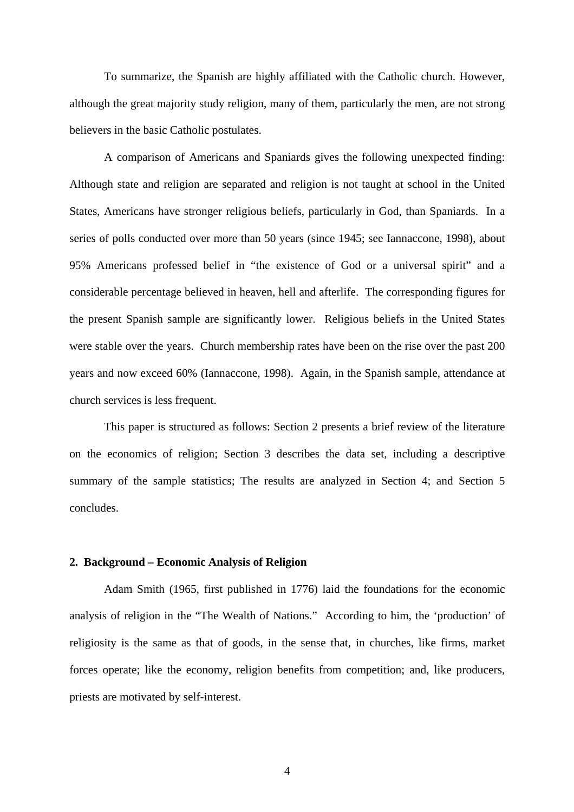To summarize, the Spanish are highly affiliated with the Catholic church. However, although the great majority study religion, many of them, particularly the men, are not strong believers in the basic Catholic postulates.

 A comparison of Americans and Spaniards gives the following unexpected finding: Although state and religion are separated and religion is not taught at school in the United States, Americans have stronger religious beliefs, particularly in God, than Spaniards. In a series of polls conducted over more than 50 years (since 1945; see Iannaccone, 1998), about 95% Americans professed belief in "the existence of God or a universal spirit" and a considerable percentage believed in heaven, hell and afterlife. The corresponding figures for the present Spanish sample are significantly lower. Religious beliefs in the United States were stable over the years. Church membership rates have been on the rise over the past 200 years and now exceed 60% (Iannaccone, 1998). Again, in the Spanish sample, attendance at church services is less frequent.

 This paper is structured as follows: Section 2 presents a brief review of the literature on the economics of religion; Section 3 describes the data set, including a descriptive summary of the sample statistics; The results are analyzed in Section 4; and Section 5 concludes.

#### **2. Background – Economic Analysis of Religion**

 Adam Smith (1965, first published in 1776) laid the foundations for the economic analysis of religion in the "The Wealth of Nations." According to him, the 'production' of religiosity is the same as that of goods, in the sense that, in churches, like firms, market forces operate; like the economy, religion benefits from competition; and, like producers, priests are motivated by self-interest.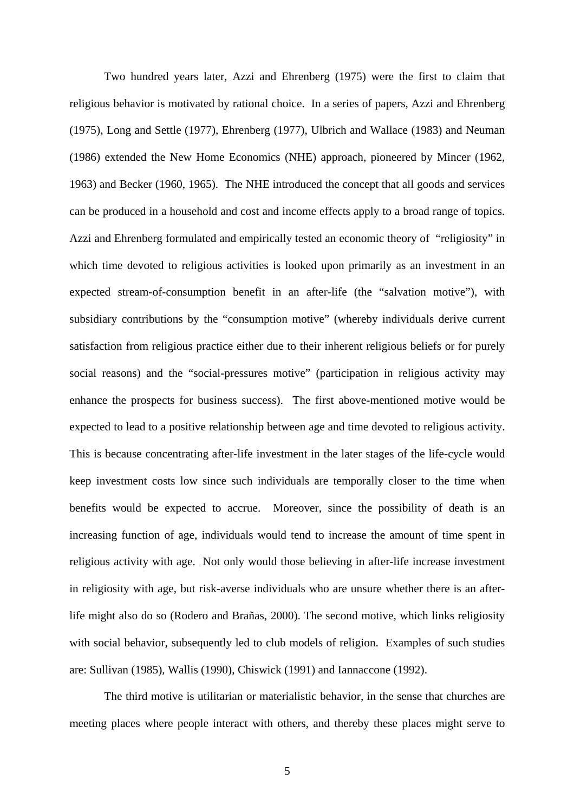Two hundred years later, Azzi and Ehrenberg (1975) were the first to claim that religious behavior is motivated by rational choice. In a series of papers, Azzi and Ehrenberg (1975), Long and Settle (1977), Ehrenberg (1977), Ulbrich and Wallace (1983) and Neuman (1986) extended the New Home Economics (NHE) approach, pioneered by Mincer (1962, 1963) and Becker (1960, 1965). The NHE introduced the concept that all goods and services can be produced in a household and cost and income effects apply to a broad range of topics. Azzi and Ehrenberg formulated and empirically tested an economic theory of "religiosity" in which time devoted to religious activities is looked upon primarily as an investment in an expected stream-of-consumption benefit in an after-life (the "salvation motive"), with subsidiary contributions by the "consumption motive" (whereby individuals derive current satisfaction from religious practice either due to their inherent religious beliefs or for purely social reasons) and the "social-pressures motive" (participation in religious activity may enhance the prospects for business success). The first above-mentioned motive would be expected to lead to a positive relationship between age and time devoted to religious activity. This is because concentrating after-life investment in the later stages of the life-cycle would keep investment costs low since such individuals are temporally closer to the time when benefits would be expected to accrue. Moreover, since the possibility of death is an increasing function of age, individuals would tend to increase the amount of time spent in religious activity with age. Not only would those believing in after-life increase investment in religiosity with age, but risk-averse individuals who are unsure whether there is an afterlife might also do so (Rodero and Brañas, 2000). The second motive, which links religiosity with social behavior, subsequently led to club models of religion. Examples of such studies are: Sullivan (1985), Wallis (1990), Chiswick (1991) and Iannaccone (1992).

The third motive is utilitarian or materialistic behavior, in the sense that churches are meeting places where people interact with others, and thereby these places might serve to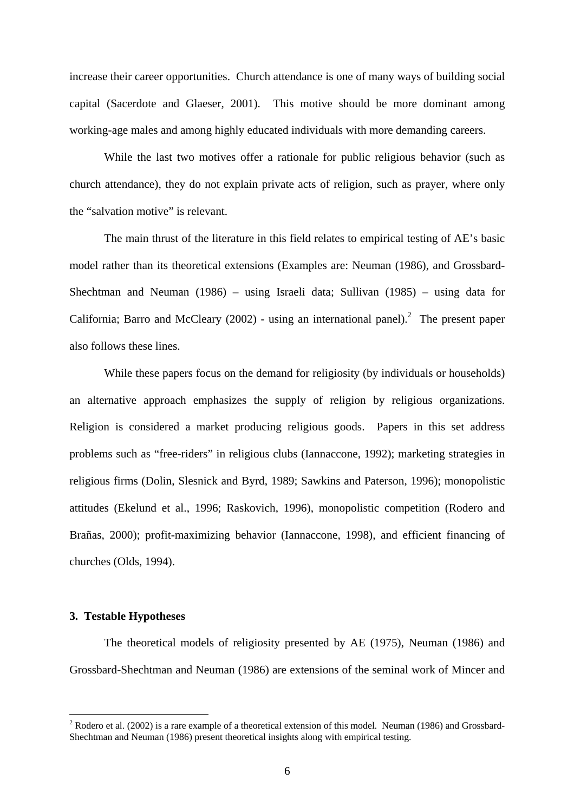increase their career opportunities. Church attendance is one of many ways of building social capital (Sacerdote and Glaeser, 2001). This motive should be more dominant among working-age males and among highly educated individuals with more demanding careers.

While the last two motives offer a rationale for public religious behavior (such as church attendance), they do not explain private acts of religion, such as prayer, where only the "salvation motive" is relevant.

The main thrust of the literature in this field relates to empirical testing of AE's basic model rather than its theoretical extensions (Examples are: Neuman (1986), and Grossbard-Shechtman and Neuman (1986) – using Israeli data; Sullivan (1985) – using data for California; Barro and McCleary (2002) - using an international panel).<sup>2</sup> The present paper also follows these lines.

While these papers focus on the demand for religiosity (by individuals or households) an alternative approach emphasizes the supply of religion by religious organizations. Religion is considered a market producing religious goods. Papers in this set address problems such as "free-riders" in religious clubs (Iannaccone, 1992); marketing strategies in religious firms (Dolin, Slesnick and Byrd, 1989; Sawkins and Paterson, 1996); monopolistic attitudes (Ekelund et al., 1996; Raskovich, 1996), monopolistic competition (Rodero and Brañas, 2000); profit-maximizing behavior (Iannaccone, 1998), and efficient financing of churches (Olds, 1994).

#### **3. Testable Hypotheses**

 $\overline{a}$ 

 The theoretical models of religiosity presented by AE (1975), Neuman (1986) and Grossbard-Shechtman and Neuman (1986) are extensions of the seminal work of Mincer and

<sup>&</sup>lt;sup>2</sup> Rodero et al. (2002) is a rare example of a theoretical extension of this model. Neuman (1986) and Grossbard-Shechtman and Neuman (1986) present theoretical insights along with empirical testing.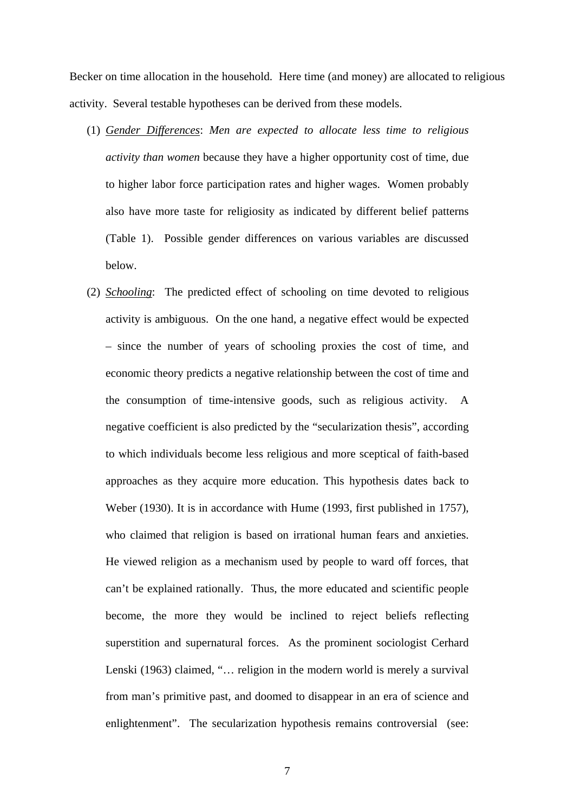Becker on time allocation in the household. Here time (and money) are allocated to religious activity. Several testable hypotheses can be derived from these models.

- (1) *Gender Differences*: *Men are expected to allocate less time to religious activity than women* because they have a higher opportunity cost of time, due to higher labor force participation rates and higher wages. Women probably also have more taste for religiosity as indicated by different belief patterns (Table 1). Possible gender differences on various variables are discussed below.
- (2) *Schooling*: The predicted effect of schooling on time devoted to religious activity is ambiguous. On the one hand, a negative effect would be expected – since the number of years of schooling proxies the cost of time, and economic theory predicts a negative relationship between the cost of time and the consumption of time-intensive goods, such as religious activity. A negative coefficient is also predicted by the "secularization thesis", according to which individuals become less religious and more sceptical of faith-based approaches as they acquire more education. This hypothesis dates back to Weber (1930). It is in accordance with Hume (1993, first published in 1757), who claimed that religion is based on irrational human fears and anxieties. He viewed religion as a mechanism used by people to ward off forces, that can't be explained rationally. Thus, the more educated and scientific people become, the more they would be inclined to reject beliefs reflecting superstition and supernatural forces. As the prominent sociologist Cerhard Lenski (1963) claimed, "… religion in the modern world is merely a survival from man's primitive past, and doomed to disappear in an era of science and enlightenment". The secularization hypothesis remains controversial (see: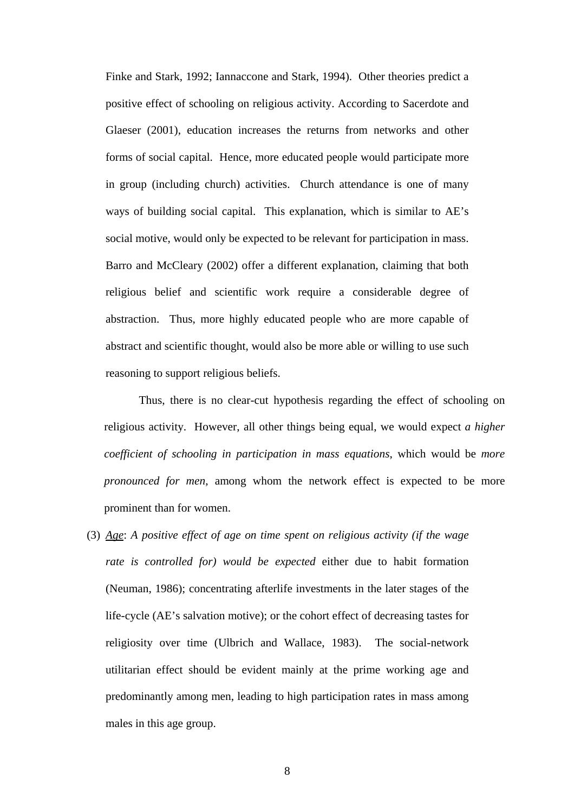Finke and Stark, 1992; Iannaccone and Stark, 1994). Other theories predict a positive effect of schooling on religious activity. According to Sacerdote and Glaeser (2001), education increases the returns from networks and other forms of social capital. Hence, more educated people would participate more in group (including church) activities. Church attendance is one of many ways of building social capital. This explanation, which is similar to AE's social motive, would only be expected to be relevant for participation in mass. Barro and McCleary (2002) offer a different explanation, claiming that both religious belief and scientific work require a considerable degree of abstraction. Thus, more highly educated people who are more capable of abstract and scientific thought, would also be more able or willing to use such reasoning to support religious beliefs.

Thus, there is no clear-cut hypothesis regarding the effect of schooling on religious activity. However, all other things being equal, we would expect *a higher coefficient of schooling in participation in mass equations*, which would be *more pronounced for men*, among whom the network effect is expected to be more prominent than for women.

(3) *Age*: *A positive effect of age on time spent on religious activity (if the wage rate is controlled for) would be expected* either due to habit formation (Neuman, 1986); concentrating afterlife investments in the later stages of the life-cycle (AE's salvation motive); or the cohort effect of decreasing tastes for religiosity over time (Ulbrich and Wallace, 1983). The social-network utilitarian effect should be evident mainly at the prime working age and predominantly among men, leading to high participation rates in mass among males in this age group.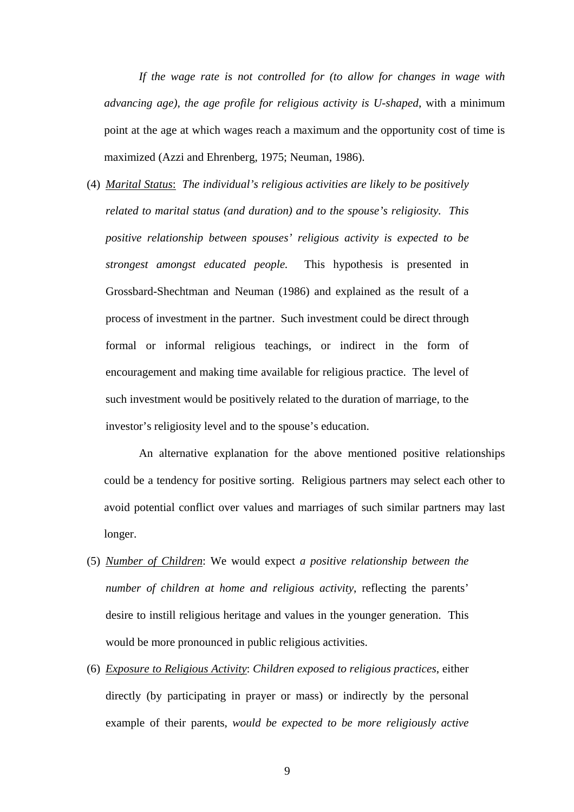*If the wage rate is not controlled for (to allow for changes in wage with advancing age), the age profile for religious activity is U-shaped*, with a minimum point at the age at which wages reach a maximum and the opportunity cost of time is maximized (Azzi and Ehrenberg, 1975; Neuman, 1986).

(4) *Marital Status*: *The individual's religious activities are likely to be positively related to marital status (and duration) and to the spouse's religiosity. This positive relationship between spouses' religious activity is expected to be strongest amongst educated people.* This hypothesis is presented in Grossbard-Shechtman and Neuman (1986) and explained as the result of a process of investment in the partner. Such investment could be direct through formal or informal religious teachings, or indirect in the form of encouragement and making time available for religious practice. The level of such investment would be positively related to the duration of marriage, to the investor's religiosity level and to the spouse's education.

An alternative explanation for the above mentioned positive relationships could be a tendency for positive sorting. Religious partners may select each other to avoid potential conflict over values and marriages of such similar partners may last longer.

- (5) *Number of Children*: We would expect *a positive relationship between the number of children at home and religious activity*, reflecting the parents' desire to instill religious heritage and values in the younger generation. This would be more pronounced in public religious activities.
- (6) *Exposure to Religious Activity*: *Children exposed to religious practices*, either directly (by participating in prayer or mass) or indirectly by the personal example of their parents, *would be expected to be more religiously active*

9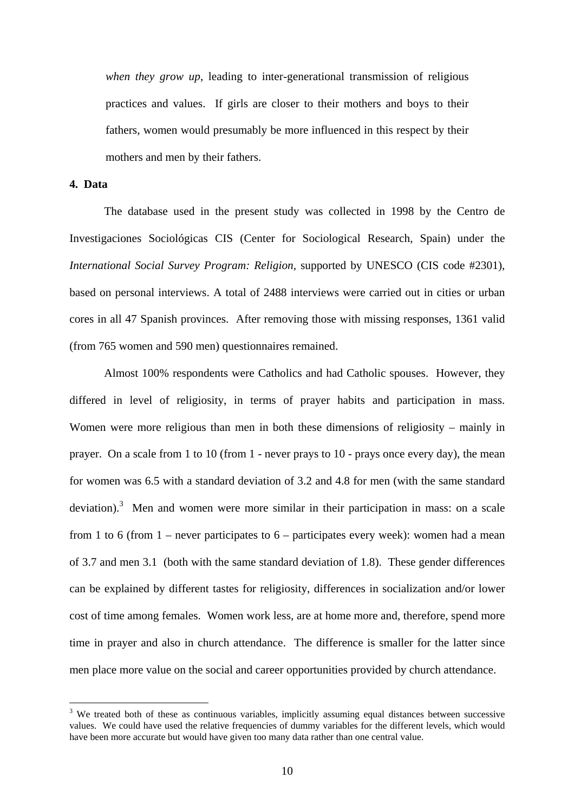*when they grow up*, leading to inter-generational transmission of religious practices and values. If girls are closer to their mothers and boys to their fathers, women would presumably be more influenced in this respect by their mothers and men by their fathers.

#### **4. Data**

 $\overline{a}$ 

 The database used in the present study was collected in 1998 by the Centro de Investigaciones Sociológicas CIS (Center for Sociological Research, Spain) under the *International Social Survey Program: Religion,* supported by UNESCO (CIS code #2301), based on personal interviews. A total of 2488 interviews were carried out in cities or urban cores in all 47 Spanish provinces. After removing those with missing responses, 1361 valid (from 765 women and 590 men) questionnaires remained.

Almost 100% respondents were Catholics and had Catholic spouses. However, they differed in level of religiosity, in terms of prayer habits and participation in mass. Women were more religious than men in both these dimensions of religiosity – mainly in prayer. On a scale from 1 to 10 (from 1 - never prays to 10 - prays once every day), the mean for women was 6.5 with a standard deviation of 3.2 and 4.8 for men (with the same standard deviation).<sup>3</sup> Men and women were more similar in their participation in mass: on a scale from 1 to 6 (from  $1$  – never participates to  $6$  – participates every week): women had a mean of 3.7 and men 3.1 (both with the same standard deviation of 1.8). These gender differences can be explained by different tastes for religiosity, differences in socialization and/or lower cost of time among females. Women work less, are at home more and, therefore, spend more time in prayer and also in church attendance. The difference is smaller for the latter since men place more value on the social and career opportunities provided by church attendance.

 $3$  We treated both of these as continuous variables, implicitly assuming equal distances between successive values. We could have used the relative frequencies of dummy variables for the different levels, which would have been more accurate but would have given too many data rather than one central value.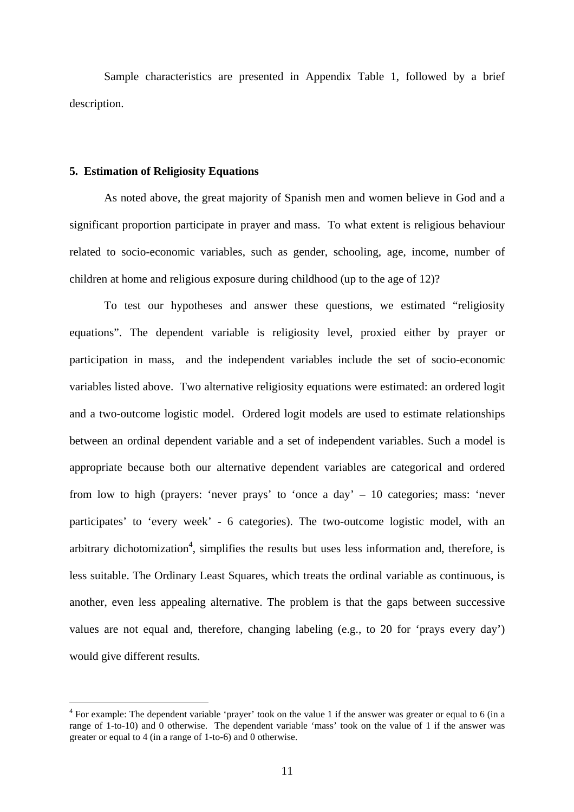Sample characteristics are presented in Appendix Table 1, followed by a brief description.

#### **5. Estimation of Religiosity Equations**

 $\overline{a}$ 

As noted above, the great majority of Spanish men and women believe in God and a significant proportion participate in prayer and mass. To what extent is religious behaviour related to socio-economic variables, such as gender, schooling, age, income, number of children at home and religious exposure during childhood (up to the age of 12)?

To test our hypotheses and answer these questions, we estimated "religiosity equations". The dependent variable is religiosity level, proxied either by prayer or participation in mass, and the independent variables include the set of socio-economic variables listed above. Two alternative religiosity equations were estimated: an ordered logit and a two-outcome logistic model. Ordered logit models are used to estimate relationships between an ordinal dependent variable and a set of independent variables. Such a model is appropriate because both our alternative dependent variables are categorical and ordered from low to high (prayers: 'never prays' to 'once a day' – 10 categories; mass: 'never participates' to 'every week' - 6 categories). The two-outcome logistic model, with an arbitrary dichotomization<sup>4</sup>, simplifies the results but uses less information and, therefore, is less suitable. The Ordinary Least Squares, which treats the ordinal variable as continuous, is another, even less appealing alternative. The problem is that the gaps between successive values are not equal and, therefore, changing labeling (e.g., to 20 for 'prays every day') would give different results.

 $4$  For example: The dependent variable 'prayer' took on the value 1 if the answer was greater or equal to 6 (in a range of 1-to-10) and 0 otherwise. The dependent variable 'mass' took on the value of 1 if the answer was greater or equal to 4 (in a range of 1-to-6) and 0 otherwise.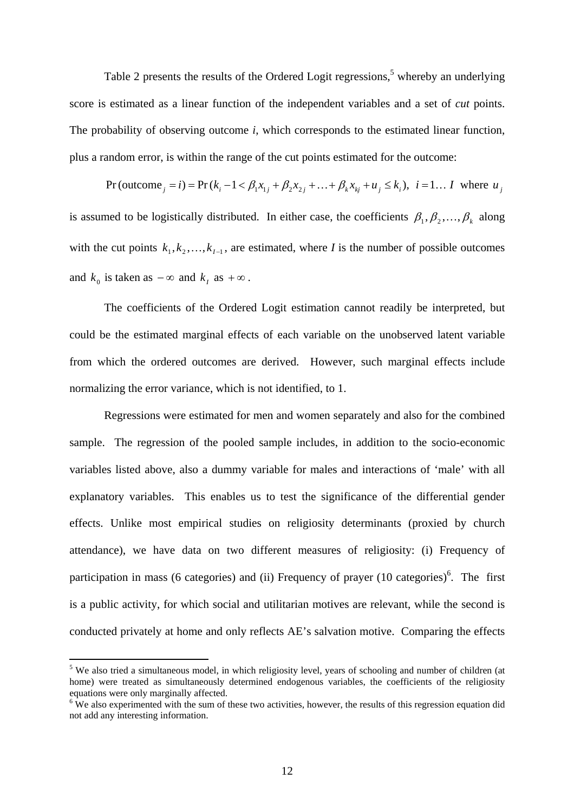Table 2 presents the results of the Ordered Logit regressions,<sup>5</sup> whereby an underlying score is estimated as a linear function of the independent variables and a set of *cut* points. The probability of observing outcome *i*, which corresponds to the estimated linear function, plus a random error, is within the range of the cut points estimated for the outcome:

 $Pr(\text{outcome}_i = i) = Pr(k_i - 1 < \beta_1 x_{1i} + \beta_2 x_{2i} + ... + \beta_k x_{ki} + u_i \le k_i), i = 1... I$  where  $u_i$ is assumed to be logistically distributed. In either case, the coefficients  $\beta_1, \beta_2, ..., \beta_k$  along with the cut points  $k_1, k_2, ..., k_{I-1}$ , are estimated, where *I* is the number of possible outcomes and  $k_0$  is taken as  $-\infty$  and  $k_i$  as  $+\infty$ .

The coefficients of the Ordered Logit estimation cannot readily be interpreted, but could be the estimated marginal effects of each variable on the unobserved latent variable from which the ordered outcomes are derived. However, such marginal effects include normalizing the error variance, which is not identified, to 1.

Regressions were estimated for men and women separately and also for the combined sample. The regression of the pooled sample includes, in addition to the socio-economic variables listed above, also a dummy variable for males and interactions of 'male' with all explanatory variables. This enables us to test the significance of the differential gender effects. Unlike most empirical studies on religiosity determinants (proxied by church attendance), we have data on two different measures of religiosity: (i) Frequency of participation in mass (6 categories) and (ii) Frequency of prayer  $(10 \text{ categories})^6$ . The first is a public activity, for which social and utilitarian motives are relevant, while the second is conducted privately at home and only reflects AE's salvation motive. Comparing the effects

 $<sup>5</sup>$  We also tried a simultaneous model, in which religiosity level, years of schooling and number of children (at</sup> home) were treated as simultaneously determined endogenous variables, the coefficients of the religiosity equations were only marginally affected.

 $6\,\text{We}$  also experimented with the sum of these two activities, however, the results of this regression equation did not add any interesting information.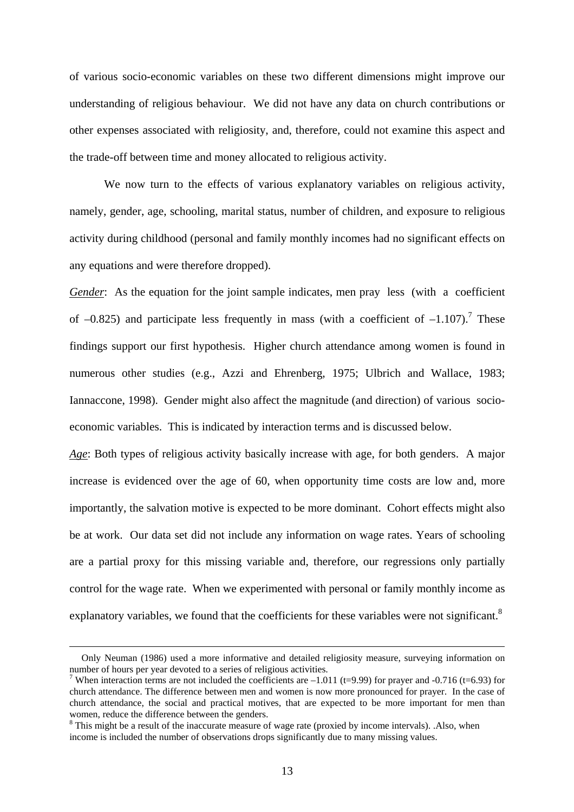of various socio-economic variables on these two different dimensions might improve our understanding of religious behaviour. We did not have any data on church contributions or other expenses associated with religiosity, and, therefore, could not examine this aspect and the trade-off between time and money allocated to religious activity.

We now turn to the effects of various explanatory variables on religious activity, namely, gender, age, schooling, marital status, number of children, and exposure to religious activity during childhood (personal and family monthly incomes had no significant effects on any equations and were therefore dropped).

*Gender*: As the equation for the joint sample indicates, men pray less (with a coefficient of  $-0.825$ ) and participate less frequently in mass (with a coefficient of  $-1.107$ ).<sup>7</sup> These findings support our first hypothesis. Higher church attendance among women is found in numerous other studies (e.g., Azzi and Ehrenberg, 1975; Ulbrich and Wallace, 1983; Iannaccone, 1998). Gender might also affect the magnitude (and direction) of various socioeconomic variables. This is indicated by interaction terms and is discussed below.

*Age*: Both types of religious activity basically increase with age, for both genders. A major increase is evidenced over the age of 60, when opportunity time costs are low and, more importantly, the salvation motive is expected to be more dominant. Cohort effects might also be at work. Our data set did not include any information on wage rates. Years of schooling are a partial proxy for this missing variable and, therefore, our regressions only partially control for the wage rate. When we experimented with personal or family monthly income as explanatory variables, we found that the coefficients for these variables were not significant.<sup>8</sup>

Only Neuman (1986) used a more informative and detailed religiosity measure, surveying information on number of hours per year devoted to a series of religious activities. 7

<sup>&</sup>lt;sup>7</sup> When interaction terms are not included the coefficients are  $-1.011$  (t=9.99) for prayer and  $-0.716$  (t=6.93) for church attendance. The difference between men and women is now more pronounced for prayer. In the case of church attendance, the social and practical motives, that are expected to be more important for men than women, reduce the difference between the genders.

<sup>&</sup>lt;sup>8</sup> This might be a result of the inaccurate measure of wage rate (proxied by income intervals). .Also, when income is included the number of observations drops significantly due to many missing values.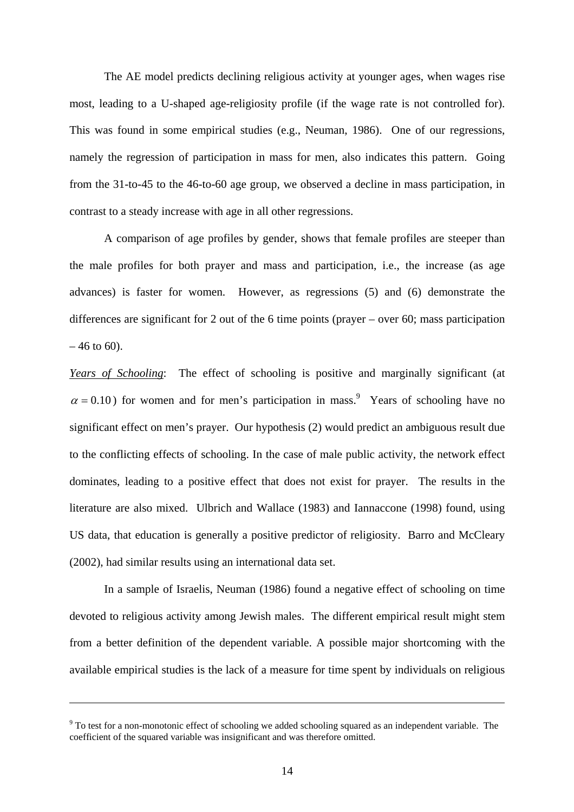The AE model predicts declining religious activity at younger ages, when wages rise most, leading to a U-shaped age-religiosity profile (if the wage rate is not controlled for). This was found in some empirical studies (e.g., Neuman, 1986). One of our regressions, namely the regression of participation in mass for men, also indicates this pattern. Going from the 31-to-45 to the 46-to-60 age group, we observed a decline in mass participation, in contrast to a steady increase with age in all other regressions.

A comparison of age profiles by gender, shows that female profiles are steeper than the male profiles for both prayer and mass and participation, i.e., the increase (as age advances) is faster for women. However, as regressions (5) and (6) demonstrate the differences are significant for 2 out of the 6 time points (prayer – over 60; mass participation  $-46$  to 60).

*Years of Schooling*: The effect of schooling is positive and marginally significant (at  $\alpha$  = 0.10) for women and for men's participation in mass.<sup>9</sup> Years of schooling have no significant effect on men's prayer. Our hypothesis (2) would predict an ambiguous result due to the conflicting effects of schooling. In the case of male public activity, the network effect dominates, leading to a positive effect that does not exist for prayer. The results in the literature are also mixed. Ulbrich and Wallace (1983) and Iannaccone (1998) found, using US data, that education is generally a positive predictor of religiosity. Barro and McCleary (2002), had similar results using an international data set.

In a sample of Israelis, Neuman (1986) found a negative effect of schooling on time devoted to religious activity among Jewish males. The different empirical result might stem from a better definition of the dependent variable. A possible major shortcoming with the available empirical studies is the lack of a measure for time spent by individuals on religious

 $9^9$  To test for a non-monotonic effect of schooling we added schooling squared as an independent variable. The coefficient of the squared variable was insignificant and was therefore omitted.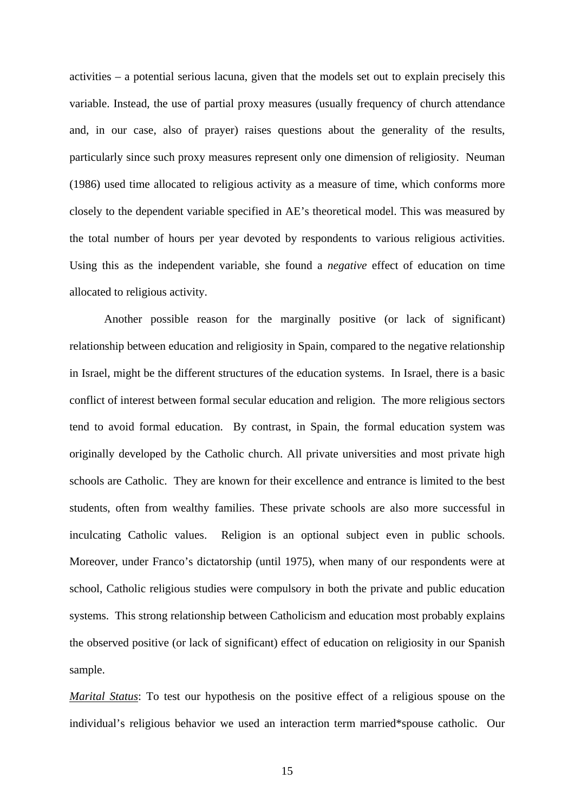activities – a potential serious lacuna, given that the models set out to explain precisely this variable. Instead, the use of partial proxy measures (usually frequency of church attendance and, in our case, also of prayer) raises questions about the generality of the results, particularly since such proxy measures represent only one dimension of religiosity. Neuman (1986) used time allocated to religious activity as a measure of time, which conforms more closely to the dependent variable specified in AE's theoretical model. This was measured by the total number of hours per year devoted by respondents to various religious activities. Using this as the independent variable, she found a *negative* effect of education on time allocated to religious activity.

Another possible reason for the marginally positive (or lack of significant) relationship between education and religiosity in Spain, compared to the negative relationship in Israel, might be the different structures of the education systems. In Israel, there is a basic conflict of interest between formal secular education and religion. The more religious sectors tend to avoid formal education. By contrast, in Spain, the formal education system was originally developed by the Catholic church. All private universities and most private high schools are Catholic. They are known for their excellence and entrance is limited to the best students, often from wealthy families. These private schools are also more successful in inculcating Catholic values. Religion is an optional subject even in public schools. Moreover, under Franco's dictatorship (until 1975), when many of our respondents were at school, Catholic religious studies were compulsory in both the private and public education systems. This strong relationship between Catholicism and education most probably explains the observed positive (or lack of significant) effect of education on religiosity in our Spanish sample.

*Marital Status*: To test our hypothesis on the positive effect of a religious spouse on the individual's religious behavior we used an interaction term married\*spouse catholic. Our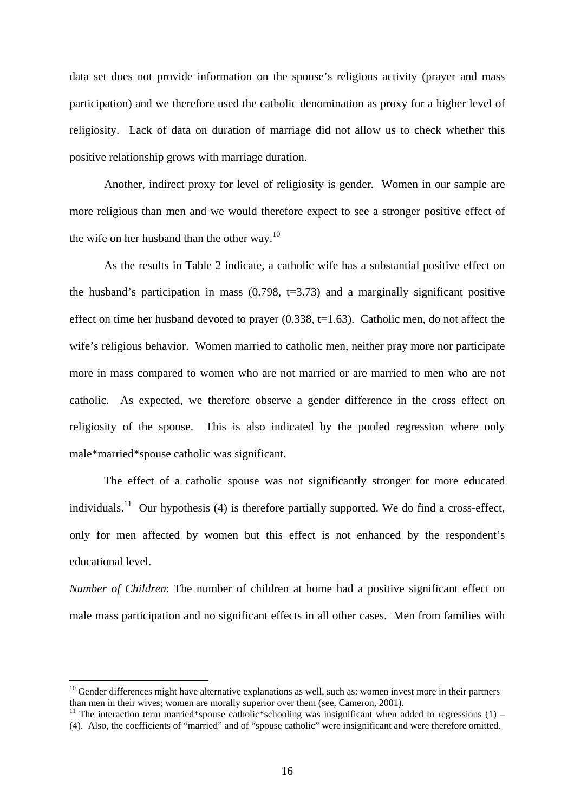data set does not provide information on the spouse's religious activity (prayer and mass participation) and we therefore used the catholic denomination as proxy for a higher level of religiosity. Lack of data on duration of marriage did not allow us to check whether this positive relationship grows with marriage duration.

 Another, indirect proxy for level of religiosity is gender. Women in our sample are more religious than men and we would therefore expect to see a stronger positive effect of the wife on her husband than the other way.<sup>10</sup>

 As the results in Table 2 indicate, a catholic wife has a substantial positive effect on the husband's participation in mass  $(0.798, t=3.73)$  and a marginally significant positive effect on time her husband devoted to prayer  $(0.338, t=1.63)$ . Catholic men, do not affect the wife's religious behavior. Women married to catholic men, neither pray more nor participate more in mass compared to women who are not married or are married to men who are not catholic. As expected, we therefore observe a gender difference in the cross effect on religiosity of the spouse. This is also indicated by the pooled regression where only male\*married\*spouse catholic was significant.

 The effect of a catholic spouse was not significantly stronger for more educated individuals.<sup>11</sup> Our hypothesis (4) is therefore partially supported. We do find a cross-effect, only for men affected by women but this effect is not enhanced by the respondent's educational level.

*Number of Children*: The number of children at home had a positive significant effect on male mass participation and no significant effects in all other cases. Men from families with

 $10$  Gender differences might have alternative explanations as well, such as: women invest more in their partners than men in their wives; women are morally superior over them (see, Cameron, 2001).

<sup>&</sup>lt;sup>11</sup> The interaction term married\*spouse catholic\*schooling was insignificant when added to regressions (1) – (4). Also, the coefficients of "married" and of "spouse catholic" were insignificant and were therefore omitted.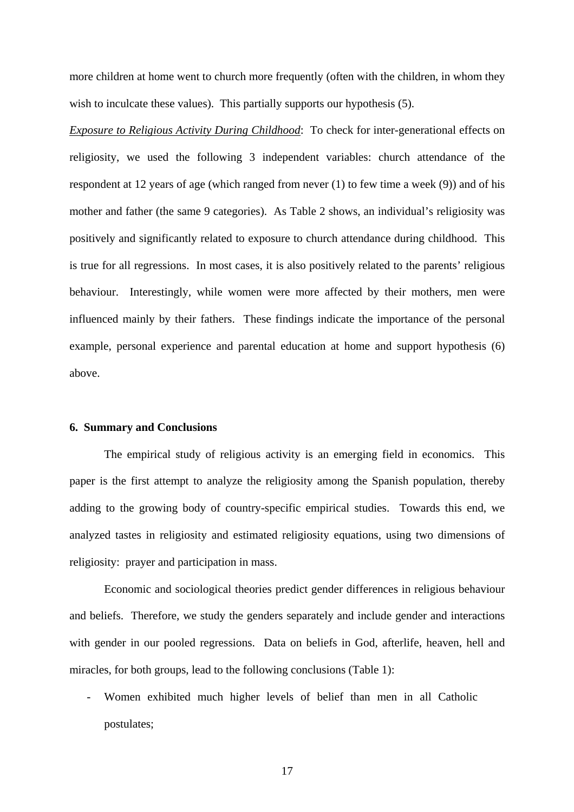more children at home went to church more frequently (often with the children, in whom they wish to inculcate these values). This partially supports our hypothesis (5).

*Exposure to Religious Activity During Childhood*: To check for inter-generational effects on religiosity, we used the following 3 independent variables: church attendance of the respondent at 12 years of age (which ranged from never (1) to few time a week (9)) and of his mother and father (the same 9 categories). As Table 2 shows, an individual's religiosity was positively and significantly related to exposure to church attendance during childhood. This is true for all regressions. In most cases, it is also positively related to the parents' religious behaviour. Interestingly, while women were more affected by their mothers, men were influenced mainly by their fathers. These findings indicate the importance of the personal example, personal experience and parental education at home and support hypothesis (6) above.

#### **6. Summary and Conclusions**

The empirical study of religious activity is an emerging field in economics. This paper is the first attempt to analyze the religiosity among the Spanish population, thereby adding to the growing body of country-specific empirical studies. Towards this end, we analyzed tastes in religiosity and estimated religiosity equations, using two dimensions of religiosity: prayer and participation in mass.

Economic and sociological theories predict gender differences in religious behaviour and beliefs. Therefore, we study the genders separately and include gender and interactions with gender in our pooled regressions. Data on beliefs in God, afterlife, heaven, hell and miracles, for both groups, lead to the following conclusions (Table 1):

- Women exhibited much higher levels of belief than men in all Catholic postulates;

17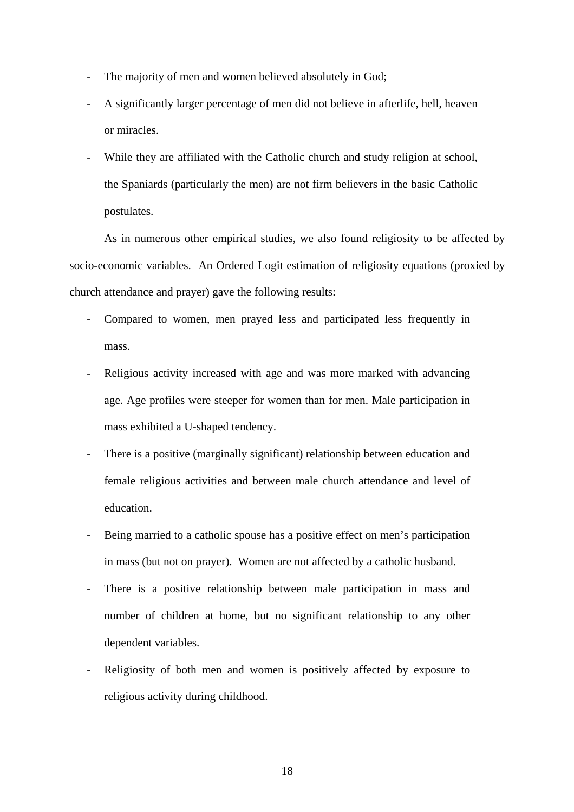- The majority of men and women believed absolutely in God;
- A significantly larger percentage of men did not believe in afterlife, hell, heaven or miracles.
- While they are affiliated with the Catholic church and study religion at school, the Spaniards (particularly the men) are not firm believers in the basic Catholic postulates.

As in numerous other empirical studies, we also found religiosity to be affected by socio-economic variables. An Ordered Logit estimation of religiosity equations (proxied by church attendance and prayer) gave the following results:

- Compared to women, men prayed less and participated less frequently in mass.
- Religious activity increased with age and was more marked with advancing age. Age profiles were steeper for women than for men. Male participation in mass exhibited a U-shaped tendency.
- There is a positive (marginally significant) relationship between education and female religious activities and between male church attendance and level of education.
- Being married to a catholic spouse has a positive effect on men's participation in mass (but not on prayer). Women are not affected by a catholic husband.
- There is a positive relationship between male participation in mass and number of children at home, but no significant relationship to any other dependent variables.
- Religiosity of both men and women is positively affected by exposure to religious activity during childhood.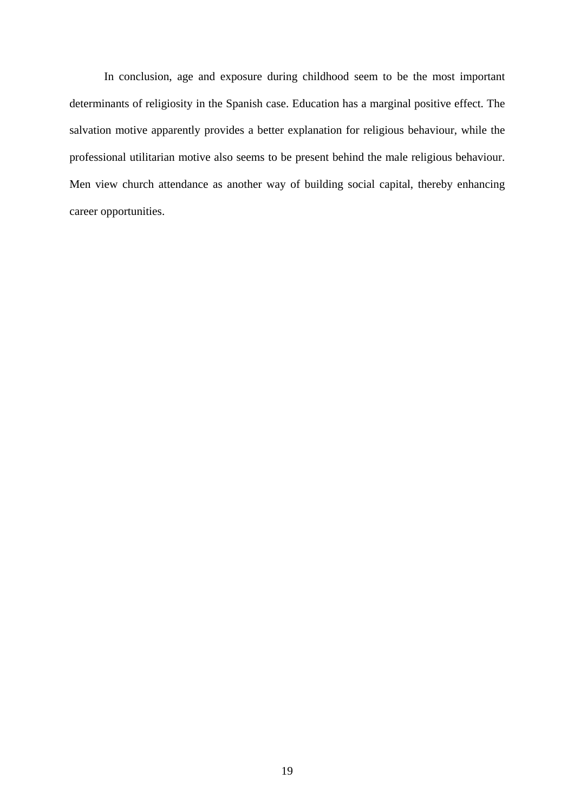In conclusion, age and exposure during childhood seem to be the most important determinants of religiosity in the Spanish case. Education has a marginal positive effect. The salvation motive apparently provides a better explanation for religious behaviour, while the professional utilitarian motive also seems to be present behind the male religious behaviour. Men view church attendance as another way of building social capital, thereby enhancing career opportunities.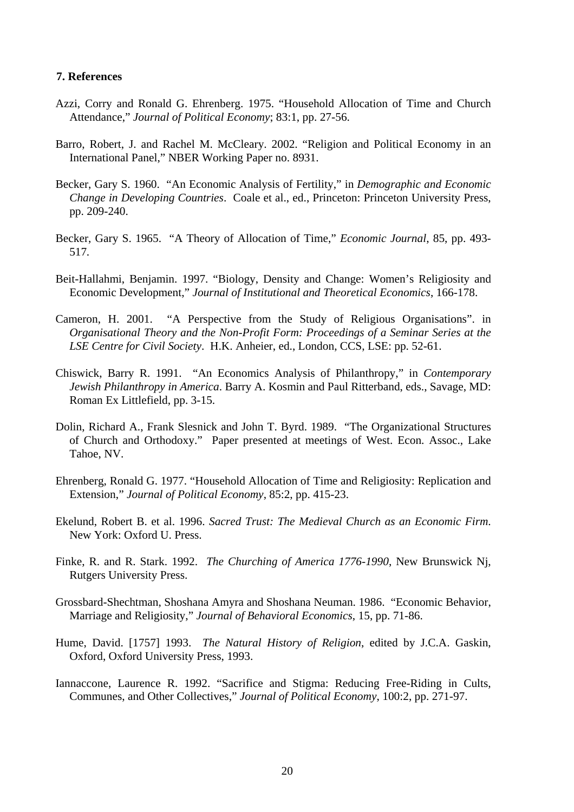#### **7. References**

- Azzi, Corry and Ronald G. Ehrenberg. 1975. "Household Allocation of Time and Church Attendance," *Journal of Political Economy*; 83:1, pp. 27-56.
- Barro, Robert, J. and Rachel M. McCleary. 2002. "Religion and Political Economy in an International Panel," NBER Working Paper no. 8931.
- Becker, Gary S. 1960. "An Economic Analysis of Fertility," in *Demographic and Economic Change in Developing Countries*. Coale et al., ed., Princeton: Princeton University Press, pp. 209-240.
- Becker, Gary S. 1965. "A Theory of Allocation of Time," *Economic Journal*, 85, pp. 493- 517*.*
- Beit-Hallahmi, Benjamin. 1997. "Biology, Density and Change: Women's Religiosity and Economic Development," *Journal of Institutional and Theoretical Economics*, 166-178.
- Cameron, H. 2001. "A Perspective from the Study of Religious Organisations". in *Organisational Theory and the Non-Profit Form: Proceedings of a Seminar Series at the LSE Centre for Civil Society*. H.K. Anheier, ed., London, CCS, LSE: pp. 52-61.
- Chiswick, Barry R. 1991. "An Economics Analysis of Philanthropy," in *Contemporary Jewish Philanthropy in America*. Barry A. Kosmin and Paul Ritterband, eds., Savage, MD: Roman Ex Littlefield, pp. 3-15.
- Dolin, Richard A., Frank Slesnick and John T. Byrd. 1989. "The Organizational Structures of Church and Orthodoxy." Paper presented at meetings of West. Econ. Assoc., Lake Tahoe, NV.
- Ehrenberg, Ronald G. 1977. "Household Allocation of Time and Religiosity: Replication and Extension," *Journal of Political Economy*, 85:2, pp. 415-23.
- Ekelund, Robert B. et al. 1996. *Sacred Trust: The Medieval Church as an Economic Firm*. New York: Oxford U. Press.
- Finke, R. and R. Stark. 1992. *The Churching of America 1776-1990*, New Brunswick Nj, Rutgers University Press.
- Grossbard-Shechtman, Shoshana Amyra and Shoshana Neuman. 1986. "Economic Behavior, Marriage and Religiosity," *Journal of Behavioral Economics*, 15, pp. 71-86.
- Hume, David. [1757] 1993. *The Natural History of Religion*, edited by J.C.A. Gaskin, Oxford, Oxford University Press, 1993.
- Iannaccone, Laurence R. 1992. "Sacrifice and Stigma: Reducing Free-Riding in Cults, Communes, and Other Collectives," *Journal of Political Economy*, 100:2, pp. 271-97.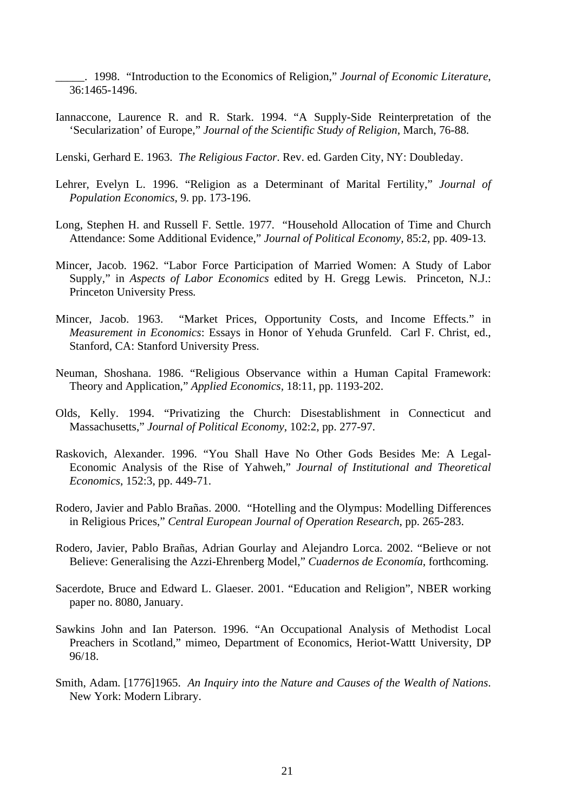\_\_\_\_\_. 1998. "Introduction to the Economics of Religion," *Journal of Economic Literature*, 36:1465-1496.

Iannaccone, Laurence R. and R. Stark. 1994. "A Supply-Side Reinterpretation of the 'Secularization' of Europe," *Journal of the Scientific Study of Religion*, March, 76-88.

Lenski, Gerhard E. 1963. *The Religious Factor*. Rev. ed. Garden City, NY: Doubleday.

- Lehrer, Evelyn L. 1996. "Religion as a Determinant of Marital Fertility," *Journal of Population Economics*, 9. pp. 173-196.
- Long, Stephen H. and Russell F. Settle. 1977. "Household Allocation of Time and Church Attendance: Some Additional Evidence," *Journal of Political Economy,* 85:2, pp. 409-13.
- Mincer, Jacob. 1962. "Labor Force Participation of Married Women: A Study of Labor Supply," in *Aspects of Labor Economics* edited by H. Gregg Lewis. Princeton, N.J.: Princeton University Press*.*
- Mincer, Jacob. 1963. "Market Prices, Opportunity Costs, and Income Effects." in *Measurement in Economics*: Essays in Honor of Yehuda Grunfeld. Carl F. Christ, ed., Stanford, CA: Stanford University Press.
- Neuman, Shoshana. 1986. "Religious Observance within a Human Capital Framework: Theory and Application," *Applied Economics,* 18:11, pp. 1193-202.
- Olds, Kelly. 1994. "Privatizing the Church: Disestablishment in Connecticut and Massachusetts," *Journal of Political Economy*, 102:2, pp. 277-97.
- Raskovich, Alexander. 1996. "You Shall Have No Other Gods Besides Me: A Legal-Economic Analysis of the Rise of Yahweh," *Journal of Institutional and Theoretical Economics*, 152:3, pp. 449-71.
- Rodero, Javier and Pablo Brañas. 2000. "Hotelling and the Olympus: Modelling Differences in Religious Prices," *Central European Journal of Operation Research*, pp. 265-283.
- Rodero, Javier, Pablo Brañas, Adrian Gourlay and Alejandro Lorca. 2002. "Believe or not Believe: Generalising the Azzi-Ehrenberg Model," *Cuadernos de Economía*, forthcoming.
- Sacerdote, Bruce and Edward L. Glaeser. 2001. "Education and Religion", NBER working paper no. 8080, January.
- Sawkins John and Ian Paterson. 1996. "An Occupational Analysis of Methodist Local Preachers in Scotland," mimeo, Department of Economics, Heriot-Wattt University, DP 96/18.
- Smith, Adam. [1776]1965. *An Inquiry into the Nature and Causes of the Wealth of Nations*. New York: Modern Library.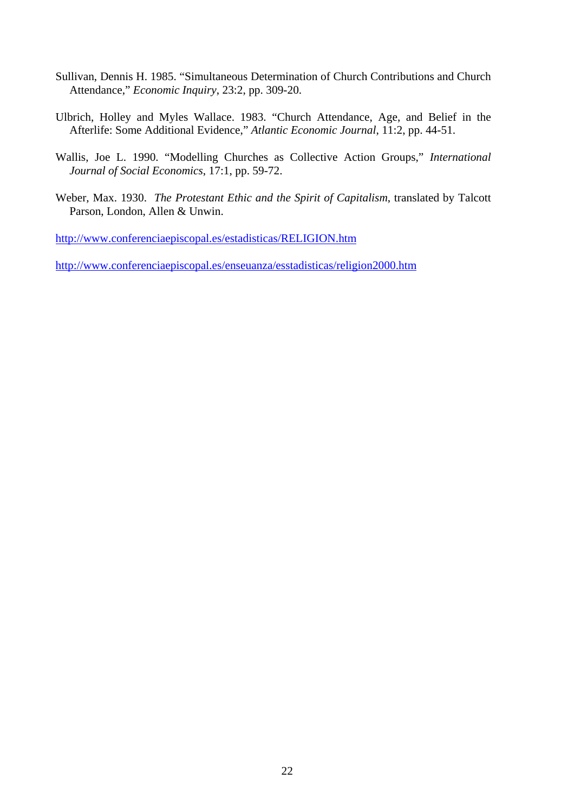- Sullivan, Dennis H. 1985. "Simultaneous Determination of Church Contributions and Church Attendance," *Economic Inquiry*, 23:2, pp. 309-20.
- Ulbrich, Holley and Myles Wallace. 1983. "Church Attendance, Age, and Belief in the Afterlife: Some Additional Evidence," *Atlantic Economic Journal*, 11:2, pp. 44-51.
- Wallis, Joe L. 1990. "Modelling Churches as Collective Action Groups," *International Journal of Social Economics*, 17:1, pp. 59-72.
- Weber, Max. 1930. *The Protestant Ethic and the Spirit of Capitalism*, translated by Talcott Parson, London, Allen & Unwin.

<http://www.conferenciaepiscopal.es/estadisticas/RELIGION.htm>

<http://www.conferenciaepiscopal.es/enseuanza/esstadisticas/religion2000.htm>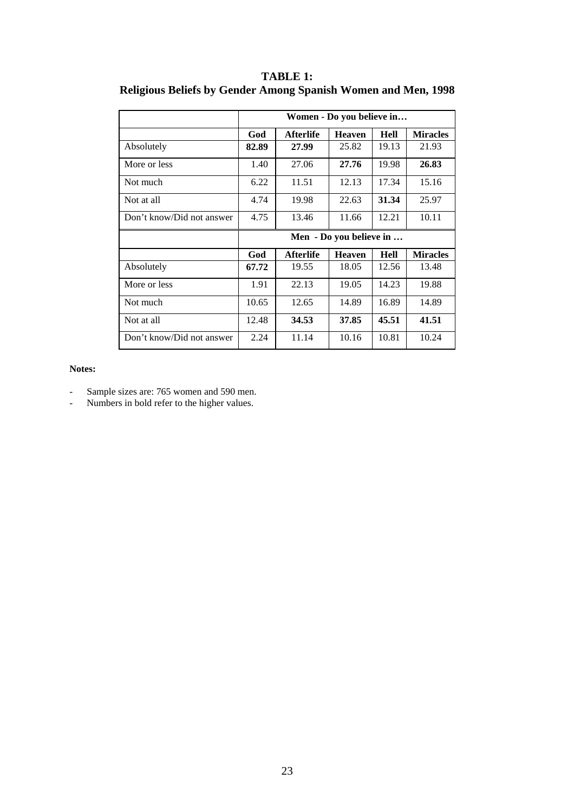|                           | Women - Do you believe in |                  |               |             |                 |  |
|---------------------------|---------------------------|------------------|---------------|-------------|-----------------|--|
|                           | God                       | <b>Afterlife</b> | <b>Heaven</b> | <b>Hell</b> | <b>Miracles</b> |  |
| Absolutely                | 82.89                     | 27.99            | 25.82         | 19.13       | 21.93           |  |
| More or less              | 1.40                      | 27.06            | 27.76         | 19.98       | 26.83           |  |
| Not much                  | 6.22                      | 11.51            | 12.13         | 17.34       | 15.16           |  |
| Not at all                | 4.74                      | 19.98            | 22.63         | 31.34       | 25.97           |  |
| Don't know/Did not answer | 4.75                      | 13.46            | 11.66         | 12.21       | 10.11           |  |
|                           | Men - Do you believe in   |                  |               |             |                 |  |
|                           |                           |                  |               |             |                 |  |
|                           | God                       | <b>Afterlife</b> | <b>Heaven</b> | <b>Hell</b> | <b>Miracles</b> |  |
| Absolutely                | 67.72                     | 19.55            | 18.05         | 12.56       | 13.48           |  |
| More or less              | 1.91                      | 22.13            | 19.05         | 14.23       | 19.88           |  |
| Not much                  | 10.65                     | 12.65            | 14.89         | 16.89       | 14.89           |  |
| Not at all                | 12.48                     | 34.53            | 37.85         | 45.51       | 41.51           |  |

### **TABLE 1: Religious Beliefs by Gender Among Spanish Women and Men, 1998**

#### **Notes:**

- Sample sizes are: 765 women and 590 men.
- Numbers in bold refer to the higher values.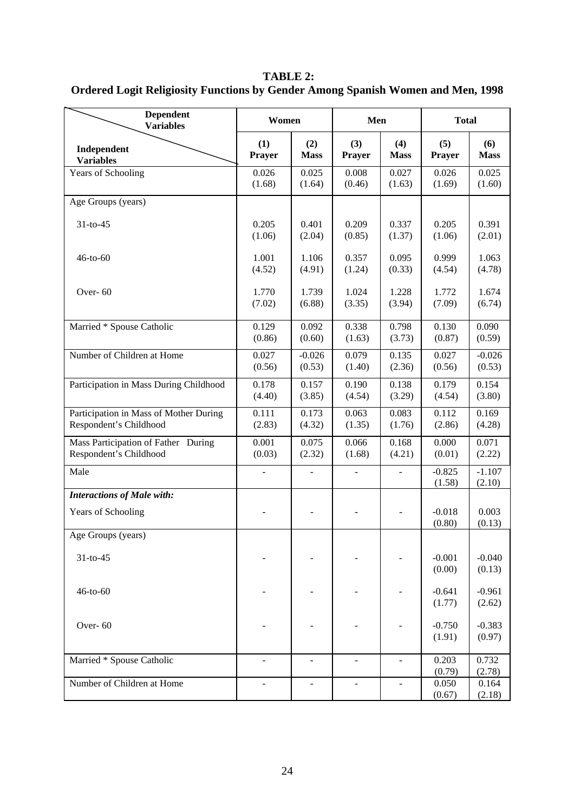**TABLE 2: Ordered Logit Religiosity Functions by Gender Among Spanish Women and Men, 1998** 

| <b>Dependent</b><br><b>Variables</b>                             | Women           |                          | Men                      |                              | <b>Total</b>              |                           |
|------------------------------------------------------------------|-----------------|--------------------------|--------------------------|------------------------------|---------------------------|---------------------------|
| Independent<br><b>Variables</b>                                  | (1)<br>Prayer   | (2)<br><b>Mass</b>       | (3)<br><b>Prayer</b>     | (4)<br><b>Mass</b>           | (5)<br><b>Prayer</b>      | (6)<br><b>Mass</b>        |
| Years of Schooling                                               | 0.026<br>(1.68) | 0.025<br>(1.64)          | 0.008<br>(0.46)          | 0.027<br>(1.63)              | 0.026<br>(1.69)           | 0.025<br>(1.60)           |
| Age Groups (years)                                               |                 |                          |                          |                              |                           |                           |
| $31-to-45$                                                       | 0.205<br>(1.06) | 0.401<br>(2.04)          | 0.209<br>(0.85)          | 0.337<br>(1.37)              | 0.205<br>(1.06)           | 0.391<br>(2.01)           |
| 46-to-60                                                         | 1.001<br>(4.52) | 1.106<br>(4.91)          | 0.357<br>(1.24)          | 0.095<br>(0.33)              | 0.999<br>(4.54)           | 1.063<br>(4.78)           |
| Over-60                                                          | 1.770<br>(7.02) | 1.739<br>(6.88)          | 1.024<br>(3.35)          | 1.228<br>(3.94)              | 1.772<br>(7.09)           | 1.674<br>(6.74)           |
| Married * Spouse Catholic                                        | 0.129<br>(0.86) | 0.092<br>(0.60)          | 0.338<br>(1.63)          | 0.798<br>(3.73)              | 0.130<br>(0.87)           | 0.090<br>(0.59)           |
| Number of Children at Home                                       | 0.027<br>(0.56) | $-0.026$<br>(0.53)       | 0.079<br>(1.40)          | 0.135<br>(2.36)              | 0.027<br>(0.56)           | $-0.026$<br>(0.53)        |
| Participation in Mass During Childhood                           | 0.178<br>(4.40) | 0.157<br>(3.85)          | 0.190<br>(4.54)          | 0.138<br>(3.29)              | 0.179<br>(4.54)           | 0.154<br>(3.80)           |
| Participation in Mass of Mother During<br>Respondent's Childhood | 0.111<br>(2.83) | 0.173<br>(4.32)          | 0.063<br>(1.35)          | 0.083<br>(1.76)              | 0.112<br>(2.86)           | 0.169<br>(4.28)           |
| Mass Participation of Father During<br>Respondent's Childhood    | 0.001<br>(0.03) | 0.075<br>(2.32)          | 0.066<br>(1.68)          | 0.168<br>(4.21)              | 0.000<br>(0.01)           | 0.071<br>(2.22)           |
| Male                                                             |                 | $\overline{a}$           | $\overline{\phantom{a}}$ | ÷,                           | $-0.825$<br>(1.58)        | $-1.107$<br>(2.10)        |
| <b>Interactions of Male with:</b>                                |                 |                          |                          |                              |                           |                           |
| Years of Schooling                                               |                 |                          |                          |                              | $-0.018$<br>(0.80)        | 0.003<br>(0.13)           |
| Age Groups (years)                                               |                 |                          |                          |                              |                           |                           |
| $31-to-45$                                                       |                 |                          |                          |                              | $-0.001$<br>(0.00)        | $-0.040$<br>(0.13)        |
| 46-to-60                                                         |                 |                          |                          |                              | $-0.641$<br>(1.77)        | $-0.961$<br>(2.62)        |
| Over-60                                                          |                 |                          |                          |                              | $-0.750$<br>(1.91)        | $-0.383$<br>(0.97)        |
| Married * Spouse Catholic                                        |                 | $\overline{\phantom{m}}$ |                          | $\overline{\phantom{a}}$     | 0.203                     | 0.732                     |
| Number of Children at Home                                       |                 |                          |                          | $\qquad \qquad \blacksquare$ | (0.79)<br>0.050<br>(0.67) | (2.78)<br>0.164<br>(2.18) |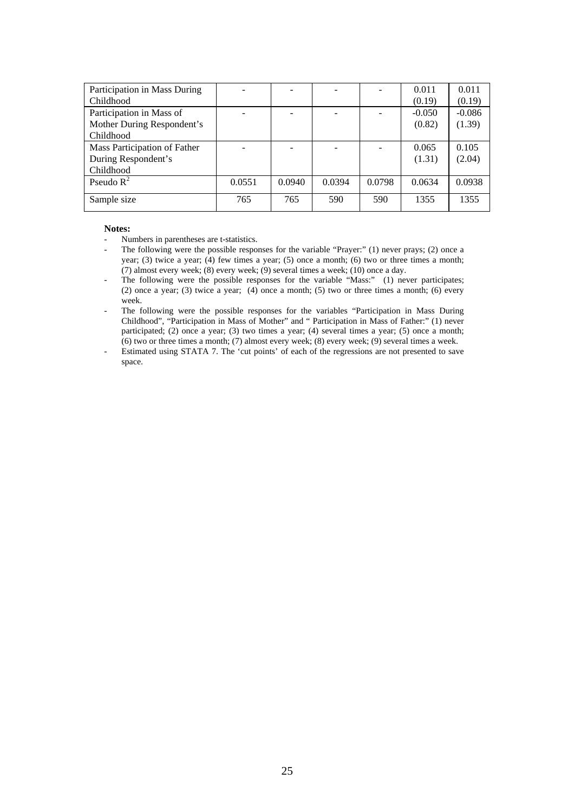| Participation in Mass During |        |        |        |        | 0.011    | 0.011    |
|------------------------------|--------|--------|--------|--------|----------|----------|
| Childhood                    |        |        |        |        | (0.19)   | (0.19)   |
| Participation in Mass of     |        |        |        |        | $-0.050$ | $-0.086$ |
| Mother During Respondent's   |        |        |        |        | (0.82)   | (1.39)   |
| Childhood                    |        |        |        |        |          |          |
| Mass Participation of Father |        |        |        |        | 0.065    | 0.105    |
| During Respondent's          |        |        |        |        | (1.31)   | (2.04)   |
| Childhood                    |        |        |        |        |          |          |
| Pseudo $R^2$                 | 0.0551 | 0.0940 | 0.0394 | 0.0798 | 0.0634   | 0.0938   |
|                              |        |        |        |        |          |          |
| Sample size                  | 765    | 765    | 590    | 590    | 1355     | 1355     |
|                              |        |        |        |        |          |          |

#### **Notes:**

- Numbers in parentheses are t-statistics.
- The following were the possible responses for the variable "Prayer:" (1) never prays; (2) once a year; (3) twice a year; (4) few times a year; (5) once a month; (6) two or three times a month; (7) almost every week; (8) every week; (9) several times a week; (10) once a day.
- The following were the possible responses for the variable "Mass:" (1) never participates; (2) once a year; (3) twice a year; (4) once a month; (5) two or three times a month; (6) every week.
- The following were the possible responses for the variables "Participation in Mass During Childhood", "Participation in Mass of Mother" and " Participation in Mass of Father:" (1) never participated; (2) once a year; (3) two times a year; (4) several times a year; (5) once a month; (6) two or three times a month; (7) almost every week; (8) every week; (9) several times a week.
- Estimated using STATA 7. The 'cut points' of each of the regressions are not presented to save space.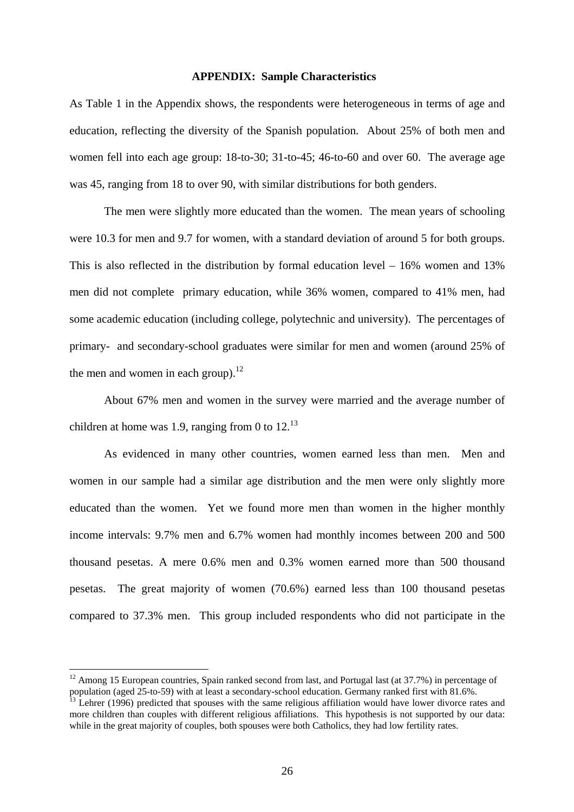#### **APPENDIX: Sample Characteristics**

As Table 1 in the Appendix shows, the respondents were heterogeneous in terms of age and education, reflecting the diversity of the Spanish population. About 25% of both men and women fell into each age group: 18-to-30; 31-to-45; 46-to-60 and over 60. The average age was 45, ranging from 18 to over 90, with similar distributions for both genders.

 The men were slightly more educated than the women. The mean years of schooling were 10.3 for men and 9.7 for women, with a standard deviation of around 5 for both groups. This is also reflected in the distribution by formal education level – 16% women and 13% men did not complete primary education, while 36% women, compared to 41% men, had some academic education (including college, polytechnic and university). The percentages of primary- and secondary-school graduates were similar for men and women (around 25% of the men and women in each group). $^{12}$ 

About 67% men and women in the survey were married and the average number of children at home was 1.9, ranging from 0 to  $12^{13}$ 

 As evidenced in many other countries, women earned less than men. Men and women in our sample had a similar age distribution and the men were only slightly more educated than the women. Yet we found more men than women in the higher monthly income intervals: 9.7% men and 6.7% women had monthly incomes between 200 and 500 thousand pesetas. A mere 0.6% men and 0.3% women earned more than 500 thousand pesetas. The great majority of women (70.6%) earned less than 100 thousand pesetas compared to 37.3% men. This group included respondents who did not participate in the

<sup>&</sup>lt;sup>12</sup> Among 15 European countries, Spain ranked second from last, and Portugal last (at  $37.7\%$ ) in percentage of population (aged  $25$ -to-59) with at least a secondary-school education. Germany ranked first with  $81.6\%$ 

 $\frac{13}{13}$  Lehrer (1996) predicted that spouses with the same religious affiliation would have lower divorce rates and more children than couples with different religious affiliations. This hypothesis is not supported by our data: while in the great majority of couples, both spouses were both Catholics, they had low fertility rates.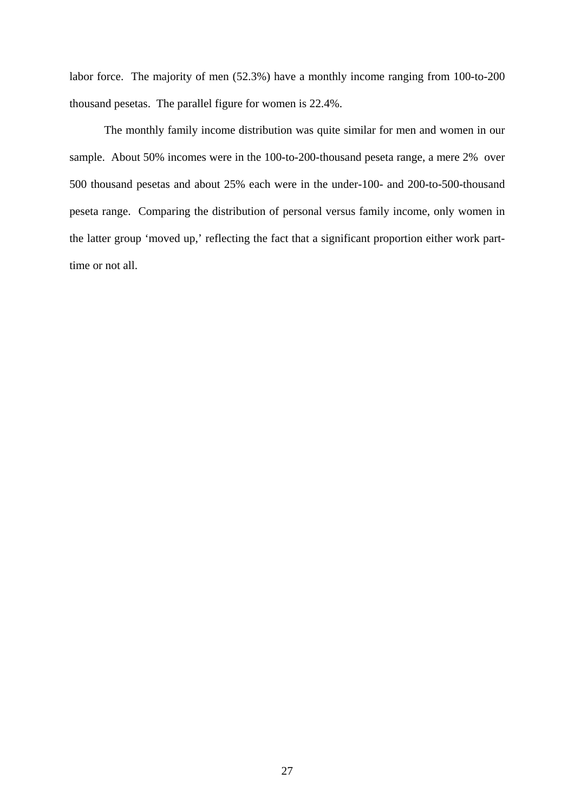labor force. The majority of men (52.3%) have a monthly income ranging from 100-to-200 thousand pesetas. The parallel figure for women is 22.4%.

The monthly family income distribution was quite similar for men and women in our sample. About 50% incomes were in the 100-to-200-thousand peseta range, a mere 2% over 500 thousand pesetas and about 25% each were in the under-100- and 200-to-500-thousand peseta range. Comparing the distribution of personal versus family income, only women in the latter group 'moved up,' reflecting the fact that a significant proportion either work parttime or not all.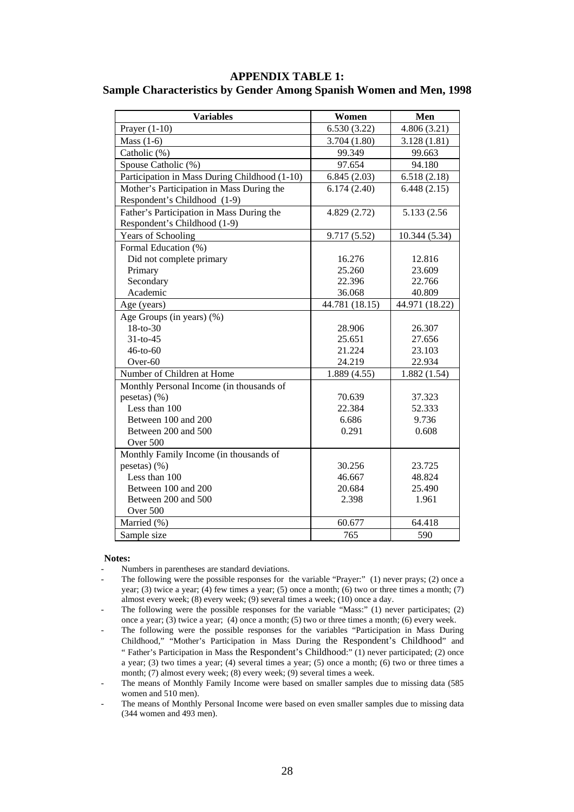#### **APPENDIX TABLE 1: Sample Characteristics by Gender Among Spanish Women and Men, 1998**

| <b>Variables</b>                              | Women          | Men            |
|-----------------------------------------------|----------------|----------------|
| Prayer $(1-10)$                               | 6.530(3.22)    | 4.806(3.21)    |
| Mass $(1-6)$                                  | 3.704(1.80)    | 3.128(1.81)    |
| Catholic (%)                                  | 99.349         | 99.663         |
| Spouse Catholic (%)                           | 97.654         | 94.180         |
| Participation in Mass During Childhood (1-10) | 6.845(2.03)    | 6.518(2.18)    |
| Mother's Participation in Mass During the     | 6.174(2.40)    | 6.448(2.15)    |
| Respondent's Childhood (1-9)                  |                |                |
| Father's Participation in Mass During the     | 4.829(2.72)    | 5.133 (2.56)   |
| Respondent's Childhood (1-9)                  |                |                |
| Years of Schooling                            | 9.717(5.52)    | 10.344 (5.34)  |
| Formal Education (%)                          |                |                |
| Did not complete primary                      | 16.276         | 12.816         |
| Primary                                       | 25.260         | 23.609         |
| Secondary                                     | 22.396         | 22.766         |
| Academic                                      | 36.068         | 40.809         |
| Age (years)                                   | 44.781 (18.15) | 44.971 (18.22) |
| Age Groups (in years) $(\%)$                  |                |                |
| 18-to-30                                      | 28.906         | 26.307         |
| $31-to-45$                                    | 25.651         | 27.656         |
| $46-to-60$                                    | 21.224         | 23.103         |
| Over-60                                       | 24.219         | 22.934         |
| Number of Children at Home                    | 1.889(4.55)    | 1.882(1.54)    |
| Monthly Personal Income (in thousands of      |                |                |
| pesetas $)(\%)$                               | 70.639         | 37.323         |
| Less than 100                                 | 22.384         | 52.333         |
| Between 100 and 200                           | 6.686          | 9.736          |
| Between 200 and 500                           | 0.291          | 0.608          |
| Over 500                                      |                |                |
| Monthly Family Income (in thousands of        |                |                |
| pesetas $)(\%)$                               | 30.256         | 23.725         |
| Less than 100                                 | 46.667         | 48.824         |
| Between 100 and 200                           | 20.684         | 25.490         |
| Between 200 and 500                           | 2.398          | 1.961          |
| Over 500                                      |                |                |
| Married (%)                                   | 60.677         | 64.418         |
| Sample size                                   | 765            | 590            |

#### **Notes:**

- Numbers in parentheses are standard deviations.
- The following were the possible responses for the variable "Prayer:" (1) never prays; (2) once a year; (3) twice a year; (4) few times a year; (5) once a month; (6) two or three times a month; (7) almost every week; (8) every week; (9) several times a week; (10) once a day.
- The following were the possible responses for the variable "Mass:" (1) never participates; (2) once a year; (3) twice a year; (4) once a month; (5) two or three times a month; (6) every week.
- The following were the possible responses for the variables "Participation in Mass During Childhood," "Mother's Participation in Mass During the Respondent's Childhood" and " Father's Participation in Mass the Respondent's Childhood:" (1) never participated; (2) once a year; (3) two times a year; (4) several times a year; (5) once a month; (6) two or three times a month; (7) almost every week; (8) every week; (9) several times a week.
- The means of Monthly Family Income were based on smaller samples due to missing data (585 women and 510 men).
- The means of Monthly Personal Income were based on even smaller samples due to missing data (344 women and 493 men).